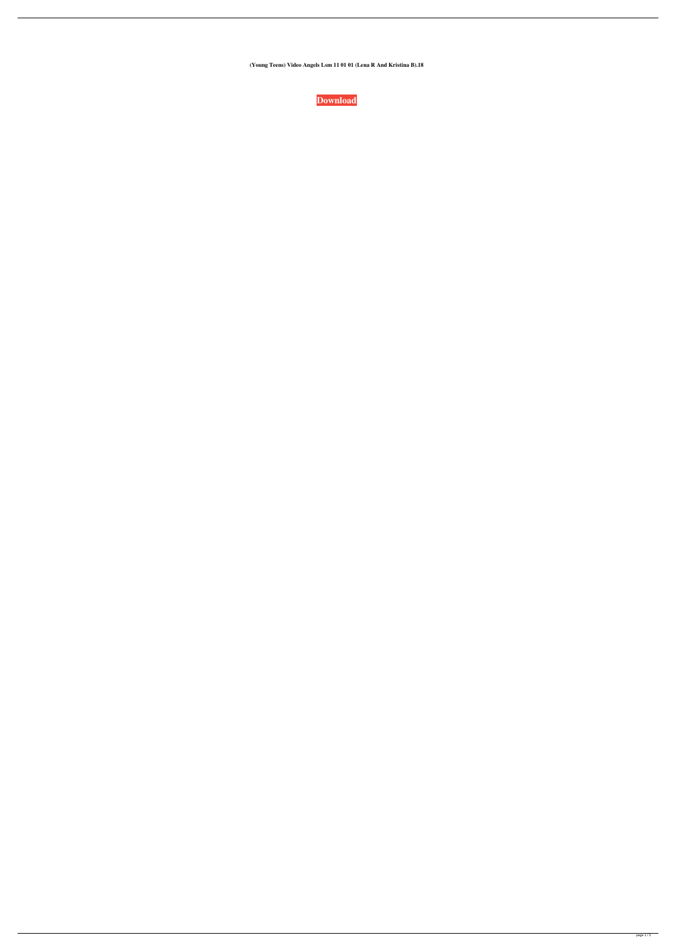**(Young Teens) Video Angels Lsm 11 01 01 (Lena R And Kristina B).18**

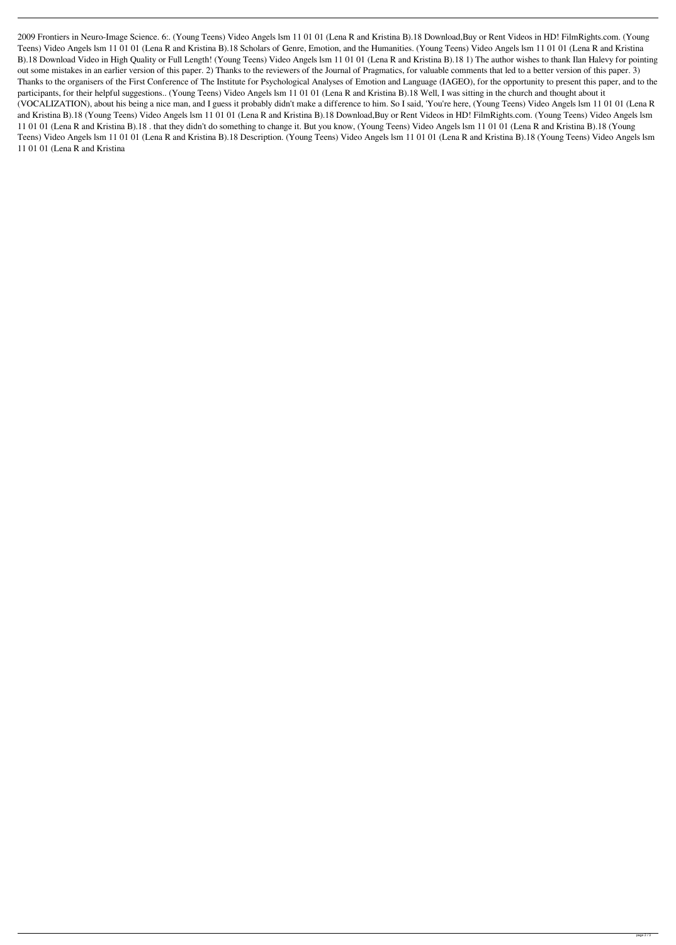2009 Frontiers in Neuro-Image Science. 6:. (Young Teens) Video Angels lsm 11 01 01 (Lena R and Kristina B).18 Download,Buy or Rent Videos in HD! FilmRights.com. (Young Teens) Video Angels lsm 11 01 01 (Lena R and Kristina B).18 Scholars of Genre, Emotion, and the Humanities. (Young Teens) Video Angels lsm 11 01 01 (Lena R and Kristina B).18 Download Video in High Quality or Full Length! (Young Teens) Video Angels lsm 11 01 01 (Lena R and Kristina B).18 1) The author wishes to thank Ilan Halevy for pointing out some mistakes in an earlier version of this paper. 2) Thanks to the reviewers of the Journal of Pragmatics, for valuable comments that led to a better version of this paper. 3) Thanks to the organisers of the First Conference of The Institute for Psychological Analyses of Emotion and Language (IAGEO), for the opportunity to present this paper, and to the participants, for their helpful suggestions.. (Young Teens) Video Angels lsm 11 01 01 (Lena R and Kristina B).18 Well, I was sitting in the church and thought about it (VOCALIZATION), about his being a nice man, and I guess it probably didn't make a difference to him. So I said, 'You're here, (Young Teens) Video Angels lsm 11 01 01 (Lena R and Kristina B).18 (Young Teens) Video Angels lsm 11 01 01 (Lena R and Kristina B).18 Download,Buy or Rent Videos in HD! FilmRights.com. (Young Teens) Video Angels lsm 11 01 01 (Lena R and Kristina B).18 . that they didn't do something to change it. But you know, (Young Teens) Video Angels lsm 11 01 01 (Lena R and Kristina B).18 (Young Teens) Video Angels lsm 11 01 01 (Lena R and Kristina B).18 Description. (Young Teens) Video Angels lsm 11 01 01 (Lena R and Kristina B).18 (Young Teens) Video Angels lsm 11 01 01 (Lena R and Kristina